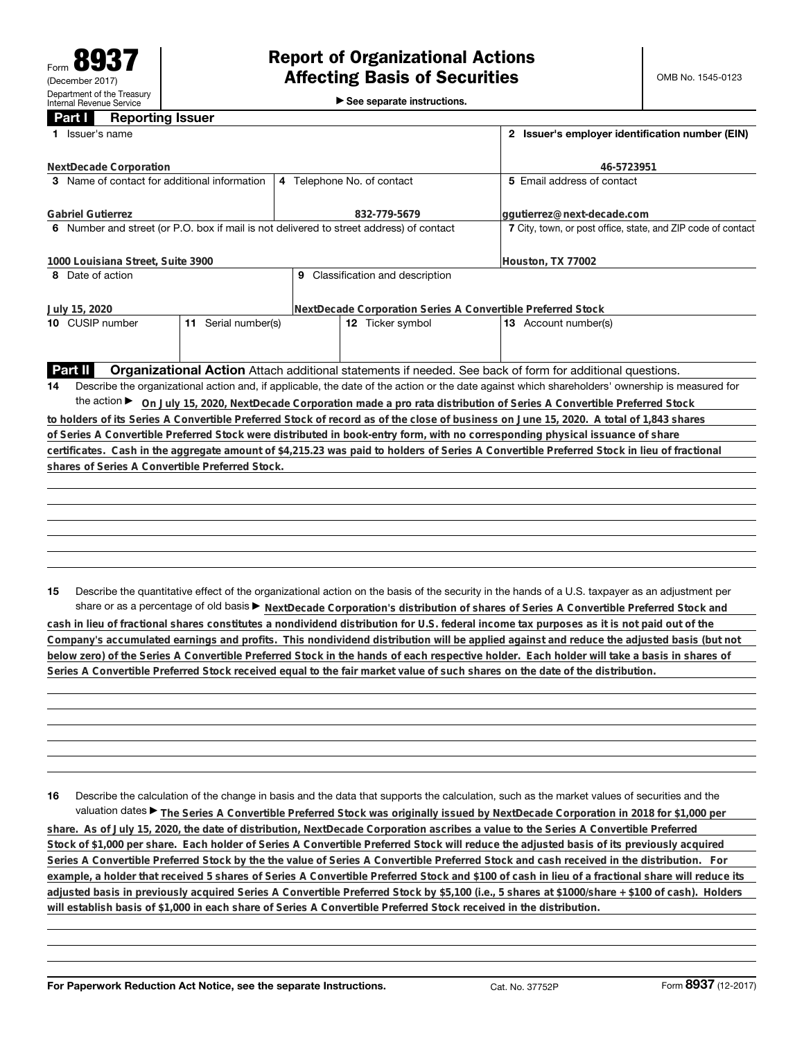►<br>► See separate instructions.

## **Part I Reporting Issuer**

| Issuer's name<br>1.                                                                                                           | 2 Issuer's employer identification number (EIN)                                                                                                 |                                                                                                                                                 |  |  |  |  |  |  |  |
|-------------------------------------------------------------------------------------------------------------------------------|-------------------------------------------------------------------------------------------------------------------------------------------------|-------------------------------------------------------------------------------------------------------------------------------------------------|--|--|--|--|--|--|--|
| NextDecade Corporation                                                                                                        | 46-5723951                                                                                                                                      |                                                                                                                                                 |  |  |  |  |  |  |  |
| 3 Name of contact for additional information                                                                                  | 4 Telephone No. of contact                                                                                                                      | 5 Email address of contact                                                                                                                      |  |  |  |  |  |  |  |
| <b>Gabriel Gutierrez</b>                                                                                                      | 832-779-5679                                                                                                                                    | ggutierrez@next-decade.com                                                                                                                      |  |  |  |  |  |  |  |
| 6 Number and street (or P.O. box if mail is not delivered to street address) of contact                                       | 7 City, town, or post office, state, and ZIP code of contact                                                                                    |                                                                                                                                                 |  |  |  |  |  |  |  |
| 1000 Louisiana Street, Suite 3900                                                                                             | Houston, TX 77002                                                                                                                               |                                                                                                                                                 |  |  |  |  |  |  |  |
| 8 Date of action                                                                                                              | 9 Classification and description                                                                                                                |                                                                                                                                                 |  |  |  |  |  |  |  |
| July 15, 2020                                                                                                                 | NextDecade Corporation Series A Convertible Preferred Stock                                                                                     |                                                                                                                                                 |  |  |  |  |  |  |  |
| 10 CUSIP number                                                                                                               | 11 Serial number(s)<br>12 Ticker symbol<br>13 Account number(s)                                                                                 |                                                                                                                                                 |  |  |  |  |  |  |  |
|                                                                                                                               |                                                                                                                                                 |                                                                                                                                                 |  |  |  |  |  |  |  |
| <b>Part II</b>                                                                                                                |                                                                                                                                                 | <b>Organizational Action</b> Attach additional statements if needed. See back of form for additional questions.                                 |  |  |  |  |  |  |  |
| 14                                                                                                                            | Describe the organizational action and, if applicable, the date of the action or the date against which shareholders' ownership is measured for |                                                                                                                                                 |  |  |  |  |  |  |  |
| the action ► On July 15, 2020, NextDecade Corporation made a pro rata distribution of Series A Convertible Preferred Stock    |                                                                                                                                                 |                                                                                                                                                 |  |  |  |  |  |  |  |
|                                                                                                                               |                                                                                                                                                 | to holders of its Series A Convertible Preferred Stock of record as of the close of business on June 15, 2020. A total of 1.843 shares          |  |  |  |  |  |  |  |
| of Series A Convertible Preferred Stock were distributed in book-entry form, with no corresponding physical issuance of share |                                                                                                                                                 |                                                                                                                                                 |  |  |  |  |  |  |  |
|                                                                                                                               |                                                                                                                                                 | certificates. Cash in the aggregate amount of \$4,215.23 was paid to holders of Series A Convertible Preferred Stock in lieu of fractional      |  |  |  |  |  |  |  |
| shares of Series A Convertible Preferred Stock.                                                                               |                                                                                                                                                 |                                                                                                                                                 |  |  |  |  |  |  |  |
|                                                                                                                               |                                                                                                                                                 |                                                                                                                                                 |  |  |  |  |  |  |  |
|                                                                                                                               |                                                                                                                                                 |                                                                                                                                                 |  |  |  |  |  |  |  |
|                                                                                                                               |                                                                                                                                                 |                                                                                                                                                 |  |  |  |  |  |  |  |
|                                                                                                                               |                                                                                                                                                 |                                                                                                                                                 |  |  |  |  |  |  |  |
|                                                                                                                               |                                                                                                                                                 |                                                                                                                                                 |  |  |  |  |  |  |  |
|                                                                                                                               |                                                                                                                                                 |                                                                                                                                                 |  |  |  |  |  |  |  |
|                                                                                                                               |                                                                                                                                                 |                                                                                                                                                 |  |  |  |  |  |  |  |
| 15                                                                                                                            |                                                                                                                                                 | Describe the quantitative effect of the organizational action on the basis of the security in the hands of a U.S. taxpayer as an adjustment per |  |  |  |  |  |  |  |

share or as a percentage of old basis  $\blacktriangleright$  NextDecade Corporation's distribution of shares of Series A Convertible Preferred Stock and **cash in lieu of fractional shares constitutes a nondividend distribution for U.S. federal income tax purposes as it is not paid out of the Company's accumulated earnings and profits. This nondividend distribution will be applied against and reduce the adjusted basis (but not below zero) of the Series A Convertible Preferred Stock in the hands of each respective holder. Each holder will take a basis in shares of Series A Convertible Preferred Stock received equal to the fair market value of such shares on the date of the distribution.**

**16** Describe the calculation of the change in basis and the data that supports the calculation, such as the market values of securities and the valuation dates ▶ The Series A Convertible Preferred Stock was originally issued by NextDecade Corporation in 2018 for \$1,000 per

**share. As of July 15, 2020, the date of distribution, NextDecade Corporation ascribes a value to the Series A Convertible Preferred Stock of \$1,000 per share. Each holder of Series A Convertible Preferred Stock will reduce the adjusted basis of its previously acquired Series A Convertible Preferred Stock by the the value of Series A Convertible Preferred Stock and cash received in the distribution. For example, a holder that received 5 shares of Series A Convertible Preferred Stock and \$100 of cash in lieu of a fractional share will reduce its adjusted basis in previously acquired Series A Convertible Preferred Stock by \$5,100 (i.e., 5 shares at \$1000/share + \$100 of cash). Holders will establish basis of \$1,000 in each share of Series A Convertible Preferred Stock received in the distribution.**